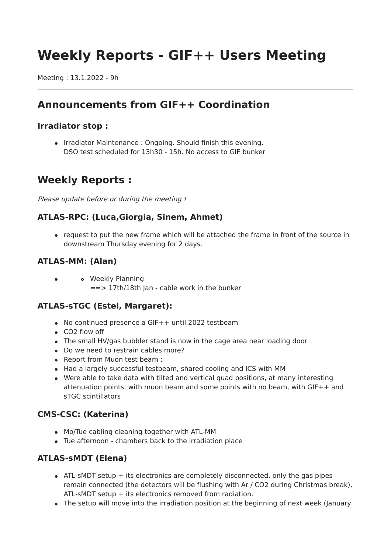# **Weekly Reports - GIF++ Users Meeting**

Meeting : 13.1.2022 - 9h

# **Announcements from GIF++ Coordination**

#### **Irradiator stop :**

• Irradiator Maintenance: Ongoing. Should finish this evening. DSO test scheduled for 13h30 - 15h. No access to GIF bunker

# **Weekly Reports :**

Please update before or during the meeting!

#### **ATLAS-RPC: (Luca,Giorgia, Sinem, Ahmet)**

• request to put the new frame which will be attached the frame in front of the source in downstream Thursday evening for 2 days.

#### **ATLAS-MM: (Alan)**

Weekly Planning  $\bullet$ ==> 17th/18th Jan - cable work in the bunker

#### **ATLAS-sTGC (Estel, Margaret):**

- No continued presence a GIF++ until 2022 testbeam
- CO2 flow off
- The small HV/gas bubbler stand is now in the cage area near loading door
- Do we need to restrain cables more?
- Report from Muon test beam :
- Had a largely successful testbeam, shared cooling and ICS with MM
- Were able to take data with tilted and vertical quad positions, at many interesting attenuation points, with muon beam and some points with no beam, with GIF++ and sTGC scintillators

#### **CMS-CSC: (Katerina)**

- Mo/Tue cabling cleaning together with ATL-MM
- Tue afternoon chambers back to the irradiation place

## **ATLAS-sMDT (Elena)**

- $\bullet$  ATL-sMDT setup  $+$  its electronics are completely disconnected, only the gas pipes remain connected (the detectors will be flushing with Ar / CO2 during Christmas break), ATL-sMDT setup + its electronics removed from radiation.
- The setup will move into the irradiation position at the beginning of next week (January